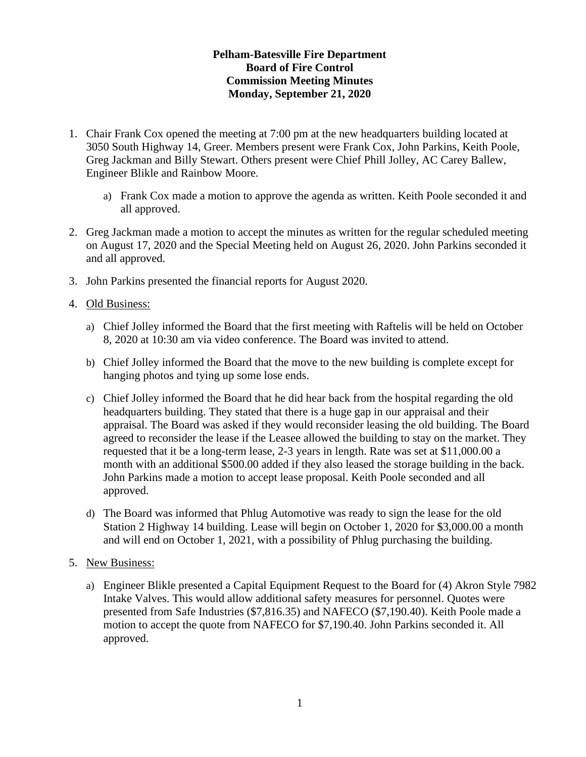## **Pelham-Batesville Fire Department Board of Fire Control Commission Meeting Minutes Monday, September 21, 2020**

- 1. Chair Frank Cox opened the meeting at 7:00 pm at the new headquarters building located at 3050 South Highway 14, Greer. Members present were Frank Cox, John Parkins, Keith Poole, Greg Jackman and Billy Stewart. Others present were Chief Phill Jolley, AC Carey Ballew, Engineer Blikle and Rainbow Moore.
	- a) Frank Cox made a motion to approve the agenda as written. Keith Poole seconded it and all approved.
- 2. Greg Jackman made a motion to accept the minutes as written for the regular scheduled meeting on August 17, 2020 and the Special Meeting held on August 26, 2020. John Parkins seconded it and all approved.
- 3. John Parkins presented the financial reports for August 2020.
- 4. Old Business:
	- a) Chief Jolley informed the Board that the first meeting with Raftelis will be held on October 8, 2020 at 10:30 am via video conference. The Board was invited to attend.
	- b) Chief Jolley informed the Board that the move to the new building is complete except for hanging photos and tying up some lose ends.
	- c) Chief Jolley informed the Board that he did hear back from the hospital regarding the old headquarters building. They stated that there is a huge gap in our appraisal and their appraisal. The Board was asked if they would reconsider leasing the old building. The Board agreed to reconsider the lease if the Leasee allowed the building to stay on the market. They requested that it be a long-term lease, 2-3 years in length. Rate was set at \$11,000.00 a month with an additional \$500.00 added if they also leased the storage building in the back. John Parkins made a motion to accept lease proposal. Keith Poole seconded and all approved.
	- d) The Board was informed that Phlug Automotive was ready to sign the lease for the old Station 2 Highway 14 building. Lease will begin on October 1, 2020 for \$3,000.00 a month and will end on October 1, 2021, with a possibility of Phlug purchasing the building.
- 5. New Business:
	- a) Engineer Blikle presented a Capital Equipment Request to the Board for (4) Akron Style 7982 Intake Valves. This would allow additional safety measures for personnel. Quotes were presented from Safe Industries (\$7,816.35) and NAFECO (\$7,190.40). Keith Poole made a motion to accept the quote from NAFECO for \$7,190.40. John Parkins seconded it. All approved.